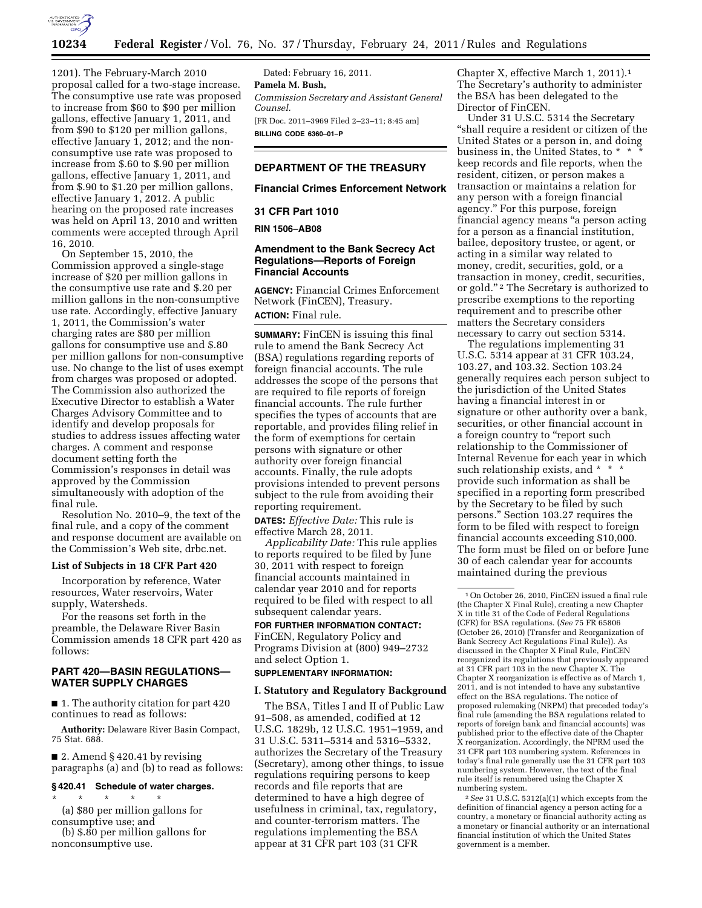

1201). The February-March 2010 proposal called for a two-stage increase. The consumptive use rate was proposed to increase from \$60 to \$90 per million gallons, effective January 1, 2011, and from \$90 to \$120 per million gallons, effective January 1, 2012; and the nonconsumptive use rate was proposed to increase from \$.60 to \$.90 per million gallons, effective January 1, 2011, and from \$.90 to \$1.20 per million gallons, effective January 1, 2012. A public hearing on the proposed rate increases was held on April 13, 2010 and written comments were accepted through April 16, 2010.

On September 15, 2010, the Commission approved a single-stage increase of \$20 per million gallons in the consumptive use rate and \$.20 per million gallons in the non-consumptive use rate. Accordingly, effective January 1, 2011, the Commission's water charging rates are \$80 per million gallons for consumptive use and \$.80 per million gallons for non-consumptive use. No change to the list of uses exempt from charges was proposed or adopted. The Commission also authorized the Executive Director to establish a Water Charges Advisory Committee and to identify and develop proposals for studies to address issues affecting water charges. A comment and response document setting forth the Commission's responses in detail was approved by the Commission simultaneously with adoption of the final rule.

Resolution No. 2010–9, the text of the final rule, and a copy of the comment and response document are available on the Commission's Web site, drbc.net.

## **List of Subjects in 18 CFR Part 420**

Incorporation by reference, Water resources, Water reservoirs, Water supply, Watersheds.

For the reasons set forth in the preamble, the Delaware River Basin Commission amends 18 CFR part 420 as follows:

## **PART 420—BASIN REGULATIONS— WATER SUPPLY CHARGES**

■ 1. The authority citation for part 420 continues to read as follows:

**Authority:** Delaware River Basin Compact, 75 Stat. 688.

■ 2. Amend § 420.41 by revising paragraphs (a) and (b) to read as follows:

## **§ 420.41 Schedule of water charges.**

\* \* \* \* \* (a) \$80 per million gallons for consumptive use; and

(b) \$.80 per million gallons for nonconsumptive use.

Dated: February 16, 2011. **Pamela M. Bush,**  *Commission Secretary and Assistant General Counsel.*  [FR Doc. 2011–3969 Filed 2–23–11; 8:45 am] **BILLING CODE 6360–01–P** 

# **DEPARTMENT OF THE TREASURY**

### **Financial Crimes Enforcement Network**

## **31 CFR Part 1010**

#### **RIN 1506–AB08**

## **Amendment to the Bank Secrecy Act Regulations—Reports of Foreign Financial Accounts**

**AGENCY:** Financial Crimes Enforcement Network (FinCEN), Treasury. **ACTION:** Final rule.

**SUMMARY:** FinCEN is issuing this final rule to amend the Bank Secrecy Act (BSA) regulations regarding reports of foreign financial accounts. The rule addresses the scope of the persons that are required to file reports of foreign financial accounts. The rule further specifies the types of accounts that are reportable, and provides filing relief in the form of exemptions for certain persons with signature or other authority over foreign financial accounts. Finally, the rule adopts provisions intended to prevent persons subject to the rule from avoiding their reporting requirement.

**DATES:** *Effective Date:* This rule is effective March 28, 2011.

*Applicability Date:* This rule applies to reports required to be filed by June 30, 2011 with respect to foreign financial accounts maintained in calendar year 2010 and for reports required to be filed with respect to all subsequent calendar years.

**FOR FURTHER INFORMATION CONTACT:**  FinCEN, Regulatory Policy and Programs Division at (800) 949–2732 and select Option 1.

# **SUPPLEMENTARY INFORMATION:**

## **I. Statutory and Regulatory Background**

The BSA, Titles I and II of Public Law 91–508, as amended, codified at 12 U.S.C. 1829b, 12 U.S.C. 1951–1959, and 31 U.S.C. 5311–5314 and 5316–5332, authorizes the Secretary of the Treasury (Secretary), among other things, to issue regulations requiring persons to keep records and file reports that are determined to have a high degree of usefulness in criminal, tax, regulatory, and counter-terrorism matters. The regulations implementing the BSA appear at 31 CFR part 103 (31 CFR

Chapter X, effective March 1, 2011).1 The Secretary's authority to administer the BSA has been delegated to the Director of FinCEN.

Under 31 U.S.C. 5314 the Secretary ''shall require a resident or citizen of the United States or a person in, and doing business in, the United States, to \* \* \* keep records and file reports, when the resident, citizen, or person makes a transaction or maintains a relation for any person with a foreign financial agency.'' For this purpose, foreign financial agency means ''a person acting for a person as a financial institution, bailee, depository trustee, or agent, or acting in a similar way related to money, credit, securities, gold, or a transaction in money, credit, securities, or gold."<sup>2</sup> The Secretary is authorized to prescribe exemptions to the reporting requirement and to prescribe other matters the Secretary considers necessary to carry out section 5314.

The regulations implementing 31 U.S.C. 5314 appear at 31 CFR 103.24, 103.27, and 103.32. Section 103.24 generally requires each person subject to the jurisdiction of the United States having a financial interest in or signature or other authority over a bank, securities, or other financial account in a foreign country to "report such relationship to the Commissioner of Internal Revenue for each year in which such relationship exists, and \* \* \* provide such information as shall be specified in a reporting form prescribed by the Secretary to be filed by such persons.'' Section 103.27 requires the form to be filed with respect to foreign financial accounts exceeding \$10,000. The form must be filed on or before June 30 of each calendar year for accounts maintained during the previous

2*See* 31 U.S.C. 5312(a)(1) which excepts from the definition of financial agency a person acting for a country, a monetary or financial authority acting as a monetary or financial authority or an international financial institution of which the United States government is a member.

<sup>1</sup>On October 26, 2010, FinCEN issued a final rule (the Chapter X Final Rule), creating a new Chapter X in title 31 of the Code of Federal Regulations (CFR) for BSA regulations. (*See* 75 FR 65806 (October 26, 2010) (Transfer and Reorganization of Bank Secrecy Act Regulations Final Rule)). As discussed in the Chapter X Final Rule, FinCEN reorganized its regulations that previously appeared at 31 CFR part 103 in the new Chapter X. The Chapter X reorganization is effective as of March 1, 2011, and is not intended to have any substantive effect on the BSA regulations. The notice of proposed rulemaking (NRPM) that preceded today's final rule (amending the BSA regulations related to reports of foreign bank and financial accounts) was published prior to the effective date of the Chapter X reorganization. Accordingly, the NPRM used the 31 CFR part 103 numbering system. References in today's final rule generally use the 31 CFR part 103 numbering system. However, the text of the final rule itself is renumbered using the Chapter X numbering system.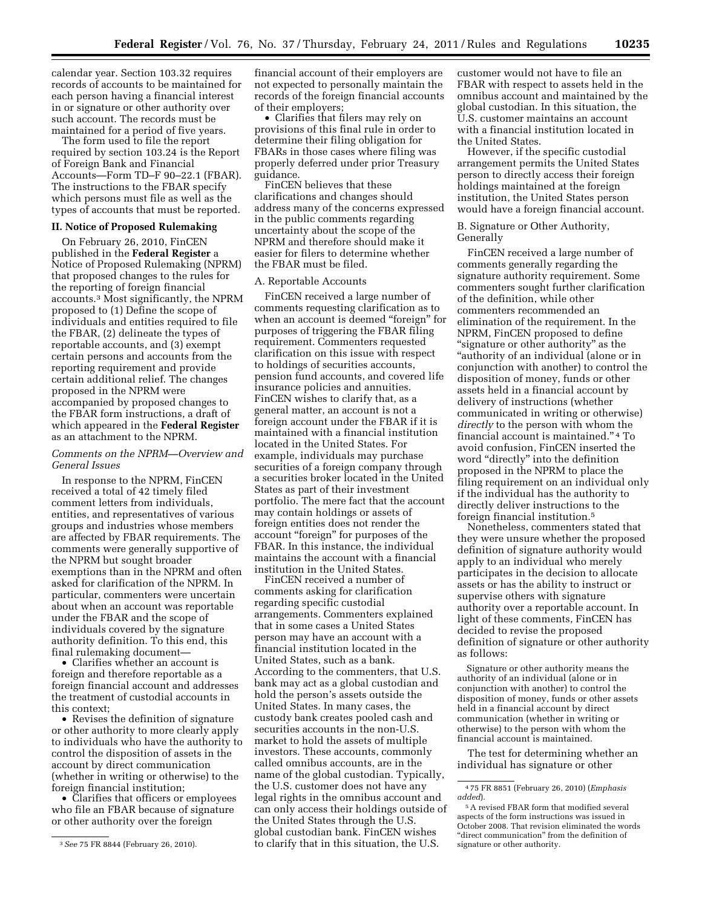calendar year. Section 103.32 requires records of accounts to be maintained for each person having a financial interest in or signature or other authority over such account. The records must be maintained for a period of five years.

The form used to file the report required by section 103.24 is the Report of Foreign Bank and Financial Accounts—Form TD–F 90–22.1 (FBAR). The instructions to the FBAR specify which persons must file as well as the types of accounts that must be reported.

### **II. Notice of Proposed Rulemaking**

On February 26, 2010, FinCEN published in the **Federal Register** a Notice of Proposed Rulemaking (NPRM) that proposed changes to the rules for the reporting of foreign financial accounts.3 Most significantly, the NPRM proposed to (1) Define the scope of individuals and entities required to file the FBAR, (2) delineate the types of reportable accounts, and (3) exempt certain persons and accounts from the reporting requirement and provide certain additional relief. The changes proposed in the NPRM were accompanied by proposed changes to the FBAR form instructions, a draft of which appeared in the **Federal Register**  as an attachment to the NPRM.

## *Comments on the NPRM—Overview and General Issues*

In response to the NPRM, FinCEN received a total of 42 timely filed comment letters from individuals, entities, and representatives of various groups and industries whose members are affected by FBAR requirements. The comments were generally supportive of the NPRM but sought broader exemptions than in the NPRM and often asked for clarification of the NPRM. In particular, commenters were uncertain about when an account was reportable under the FBAR and the scope of individuals covered by the signature authority definition. To this end, this final rulemaking document—

• Clarifies whether an account is foreign and therefore reportable as a foreign financial account and addresses the treatment of custodial accounts in this context;

• Revises the definition of signature or other authority to more clearly apply to individuals who have the authority to control the disposition of assets in the account by direct communication (whether in writing or otherwise) to the foreign financial institution;

• Clarifies that officers or employees who file an FBAR because of signature or other authority over the foreign

financial account of their employers are not expected to personally maintain the records of the foreign financial accounts of their employers;

• Clarifies that filers may rely on provisions of this final rule in order to determine their filing obligation for FBARs in those cases where filing was properly deferred under prior Treasury guidance.

FinCEN believes that these clarifications and changes should address many of the concerns expressed in the public comments regarding uncertainty about the scope of the NPRM and therefore should make it easier for filers to determine whether the FBAR must be filed.

### A. Reportable Accounts

FinCEN received a large number of comments requesting clarification as to when an account is deemed "foreign" for purposes of triggering the FBAR filing requirement. Commenters requested clarification on this issue with respect to holdings of securities accounts, pension fund accounts, and covered life insurance policies and annuities. FinCEN wishes to clarify that, as a general matter, an account is not a foreign account under the FBAR if it is maintained with a financial institution located in the United States. For example, individuals may purchase securities of a foreign company through a securities broker located in the United States as part of their investment portfolio. The mere fact that the account may contain holdings or assets of foreign entities does not render the account ''foreign'' for purposes of the FBAR. In this instance, the individual maintains the account with a financial institution in the United States.

FinCEN received a number of comments asking for clarification regarding specific custodial arrangements. Commenters explained that in some cases a United States person may have an account with a financial institution located in the United States, such as a bank. According to the commenters, that U.S. bank may act as a global custodian and hold the person's assets outside the United States. In many cases, the custody bank creates pooled cash and securities accounts in the non-U.S. market to hold the assets of multiple investors. These accounts, commonly called omnibus accounts, are in the name of the global custodian. Typically, the U.S. customer does not have any legal rights in the omnibus account and can only access their holdings outside of the United States through the U.S. global custodian bank. FinCEN wishes to clarify that in this situation, the U.S.

customer would not have to file an FBAR with respect to assets held in the omnibus account and maintained by the global custodian. In this situation, the U.S. customer maintains an account with a financial institution located in the United States.

However, if the specific custodial arrangement permits the United States person to directly access their foreign holdings maintained at the foreign institution, the United States person would have a foreign financial account.

B. Signature or Other Authority, Generally

FinCEN received a large number of comments generally regarding the signature authority requirement. Some commenters sought further clarification of the definition, while other commenters recommended an elimination of the requirement. In the NPRM, FinCEN proposed to define "signature or other authority" as the ''authority of an individual (alone or in conjunction with another) to control the disposition of money, funds or other assets held in a financial account by delivery of instructions (whether communicated in writing or otherwise) *directly* to the person with whom the financial account is maintained.'' 4 To avoid confusion, FinCEN inserted the word ''directly'' into the definition proposed in the NPRM to place the filing requirement on an individual only if the individual has the authority to directly deliver instructions to the foreign financial institution.5

Nonetheless, commenters stated that they were unsure whether the proposed definition of signature authority would apply to an individual who merely participates in the decision to allocate assets or has the ability to instruct or supervise others with signature authority over a reportable account. In light of these comments, FinCEN has decided to revise the proposed definition of signature or other authority as follows:

Signature or other authority means the authority of an individual (alone or in conjunction with another) to control the disposition of money, funds or other assets held in a financial account by direct communication (whether in writing or otherwise) to the person with whom the financial account is maintained.

The test for determining whether an individual has signature or other

<sup>3</sup>*See* 75 FR 8844 (February 26, 2010).

<sup>4</sup> 75 FR 8851 (February 26, 2010) (*Emphasis added*).

<sup>5</sup>A revised FBAR form that modified several aspects of the form instructions was issued in October 2008. That revision eliminated the words ''direct communication'' from the definition of signature or other authority.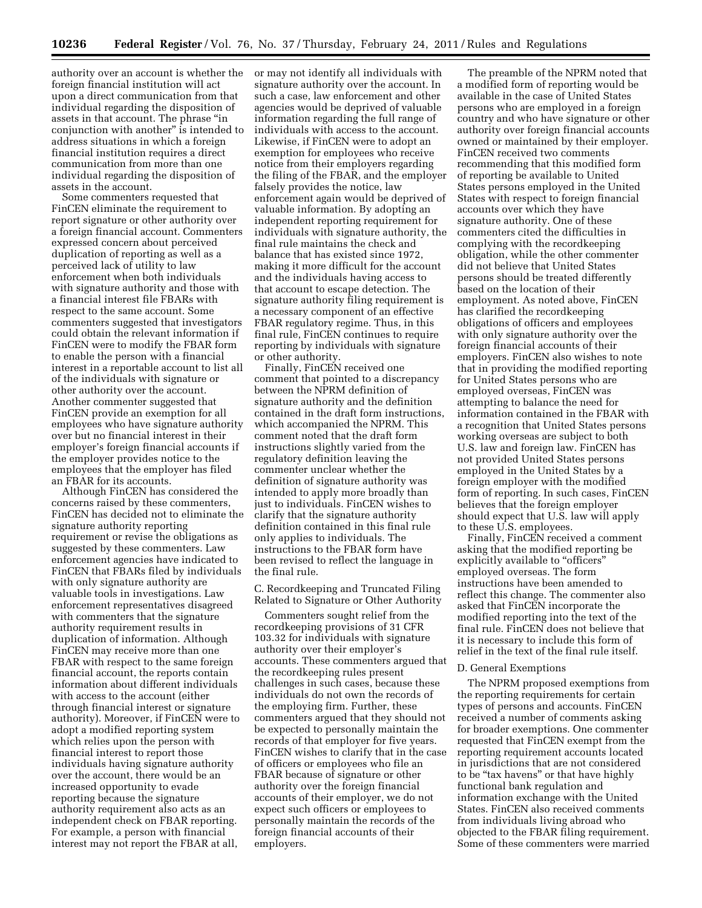authority over an account is whether the foreign financial institution will act upon a direct communication from that individual regarding the disposition of assets in that account. The phrase ''in conjunction with another'' is intended to address situations in which a foreign financial institution requires a direct communication from more than one individual regarding the disposition of assets in the account.

Some commenters requested that FinCEN eliminate the requirement to report signature or other authority over a foreign financial account. Commenters expressed concern about perceived duplication of reporting as well as a perceived lack of utility to law enforcement when both individuals with signature authority and those with a financial interest file FBARs with respect to the same account. Some commenters suggested that investigators could obtain the relevant information if FinCEN were to modify the FBAR form to enable the person with a financial interest in a reportable account to list all of the individuals with signature or other authority over the account. Another commenter suggested that FinCEN provide an exemption for all employees who have signature authority over but no financial interest in their employer's foreign financial accounts if the employer provides notice to the employees that the employer has filed an FBAR for its accounts.

Although FinCEN has considered the concerns raised by these commenters, FinCEN has decided not to eliminate the signature authority reporting requirement or revise the obligations as suggested by these commenters. Law enforcement agencies have indicated to FinCEN that FBARs filed by individuals with only signature authority are valuable tools in investigations. Law enforcement representatives disagreed with commenters that the signature authority requirement results in duplication of information. Although FinCEN may receive more than one FBAR with respect to the same foreign financial account, the reports contain information about different individuals with access to the account (either through financial interest or signature authority). Moreover, if FinCEN were to adopt a modified reporting system which relies upon the person with financial interest to report those individuals having signature authority over the account, there would be an increased opportunity to evade reporting because the signature authority requirement also acts as an independent check on FBAR reporting. For example, a person with financial interest may not report the FBAR at all,

or may not identify all individuals with signature authority over the account. In such a case, law enforcement and other agencies would be deprived of valuable information regarding the full range of individuals with access to the account. Likewise, if FinCEN were to adopt an exemption for employees who receive notice from their employers regarding the filing of the FBAR, and the employer falsely provides the notice, law enforcement again would be deprived of valuable information. By adopting an independent reporting requirement for individuals with signature authority, the final rule maintains the check and balance that has existed since 1972, making it more difficult for the account and the individuals having access to that account to escape detection. The signature authority filing requirement is a necessary component of an effective FBAR regulatory regime. Thus, in this final rule, FinCEN continues to require reporting by individuals with signature or other authority.

Finally, FinCEN received one comment that pointed to a discrepancy between the NPRM definition of signature authority and the definition contained in the draft form instructions, which accompanied the NPRM. This comment noted that the draft form instructions slightly varied from the regulatory definition leaving the commenter unclear whether the definition of signature authority was intended to apply more broadly than just to individuals. FinCEN wishes to clarify that the signature authority definition contained in this final rule only applies to individuals. The instructions to the FBAR form have been revised to reflect the language in the final rule.

C. Recordkeeping and Truncated Filing Related to Signature or Other Authority

Commenters sought relief from the recordkeeping provisions of 31 CFR 103.32 for individuals with signature authority over their employer's accounts. These commenters argued that the recordkeeping rules present challenges in such cases, because these individuals do not own the records of the employing firm. Further, these commenters argued that they should not be expected to personally maintain the records of that employer for five years. FinCEN wishes to clarify that in the case of officers or employees who file an FBAR because of signature or other authority over the foreign financial accounts of their employer, we do not expect such officers or employees to personally maintain the records of the foreign financial accounts of their employers.

The preamble of the NPRM noted that a modified form of reporting would be available in the case of United States persons who are employed in a foreign country and who have signature or other authority over foreign financial accounts owned or maintained by their employer. FinCEN received two comments recommending that this modified form of reporting be available to United States persons employed in the United States with respect to foreign financial accounts over which they have signature authority. One of these commenters cited the difficulties in complying with the recordkeeping obligation, while the other commenter did not believe that United States persons should be treated differently based on the location of their employment. As noted above, FinCEN has clarified the recordkeeping obligations of officers and employees with only signature authority over the foreign financial accounts of their employers. FinCEN also wishes to note that in providing the modified reporting for United States persons who are employed overseas, FinCEN was attempting to balance the need for information contained in the FBAR with a recognition that United States persons working overseas are subject to both U.S. law and foreign law. FinCEN has not provided United States persons employed in the United States by a foreign employer with the modified form of reporting. In such cases, FinCEN believes that the foreign employer should expect that U.S. law will apply to these U.S. employees.

Finally, FinCEN received a comment asking that the modified reporting be explicitly available to "officers" employed overseas. The form instructions have been amended to reflect this change. The commenter also asked that FinCEN incorporate the modified reporting into the text of the final rule. FinCEN does not believe that it is necessary to include this form of relief in the text of the final rule itself.

#### D. General Exemptions

The NPRM proposed exemptions from the reporting requirements for certain types of persons and accounts. FinCEN received a number of comments asking for broader exemptions. One commenter requested that FinCEN exempt from the reporting requirement accounts located in jurisdictions that are not considered to be "tax havens" or that have highly functional bank regulation and information exchange with the United States. FinCEN also received comments from individuals living abroad who objected to the FBAR filing requirement. Some of these commenters were married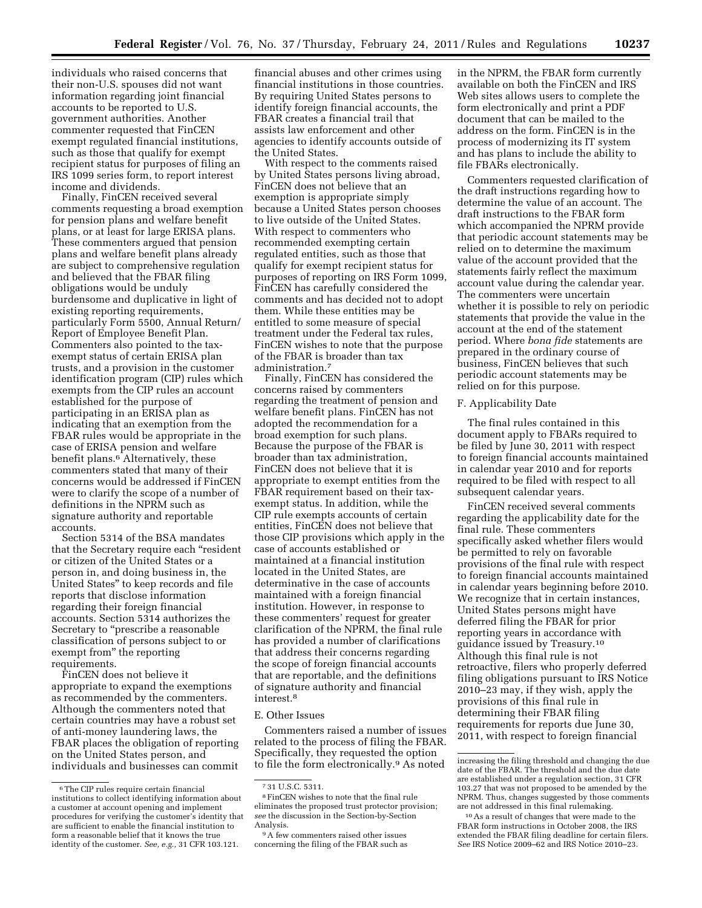individuals who raised concerns that their non-U.S. spouses did not want information regarding joint financial accounts to be reported to U.S. government authorities. Another commenter requested that FinCEN exempt regulated financial institutions, such as those that qualify for exempt recipient status for purposes of filing an IRS 1099 series form, to report interest income and dividends.

Finally, FinCEN received several comments requesting a broad exemption for pension plans and welfare benefit plans, or at least for large ERISA plans. These commenters argued that pension plans and welfare benefit plans already are subject to comprehensive regulation and believed that the FBAR filing obligations would be unduly burdensome and duplicative in light of existing reporting requirements, particularly Form 5500, Annual Return/ Report of Employee Benefit Plan. Commenters also pointed to the taxexempt status of certain ERISA plan trusts, and a provision in the customer identification program (CIP) rules which exempts from the CIP rules an account established for the purpose of participating in an ERISA plan as indicating that an exemption from the FBAR rules would be appropriate in the case of ERISA pension and welfare benefit plans.<sup>6</sup> Alternatively, these commenters stated that many of their concerns would be addressed if FinCEN were to clarify the scope of a number of definitions in the NPRM such as signature authority and reportable accounts.

Section 5314 of the BSA mandates that the Secretary require each ''resident or citizen of the United States or a person in, and doing business in, the United States'' to keep records and file reports that disclose information regarding their foreign financial accounts. Section 5314 authorizes the Secretary to "prescribe a reasonable classification of persons subject to or exempt from'' the reporting requirements.

FinCEN does not believe it appropriate to expand the exemptions as recommended by the commenters. Although the commenters noted that certain countries may have a robust set of anti-money laundering laws, the FBAR places the obligation of reporting on the United States person, and individuals and businesses can commit

financial abuses and other crimes using financial institutions in those countries. By requiring United States persons to identify foreign financial accounts, the FBAR creates a financial trail that assists law enforcement and other agencies to identify accounts outside of the United States.

With respect to the comments raised by United States persons living abroad, FinCEN does not believe that an exemption is appropriate simply because a United States person chooses to live outside of the United States. With respect to commenters who recommended exempting certain regulated entities, such as those that qualify for exempt recipient status for purposes of reporting on IRS Form 1099, FinCEN has carefully considered the comments and has decided not to adopt them. While these entities may be entitled to some measure of special treatment under the Federal tax rules, FinCEN wishes to note that the purpose of the FBAR is broader than tax administration.7

Finally, FinCEN has considered the concerns raised by commenters regarding the treatment of pension and welfare benefit plans. FinCEN has not adopted the recommendation for a broad exemption for such plans. Because the purpose of the FBAR is broader than tax administration, FinCEN does not believe that it is appropriate to exempt entities from the FBAR requirement based on their taxexempt status. In addition, while the CIP rule exempts accounts of certain entities, FinCEN does not believe that those CIP provisions which apply in the case of accounts established or maintained at a financial institution located in the United States, are determinative in the case of accounts maintained with a foreign financial institution. However, in response to these commenters' request for greater clarification of the NPRM, the final rule has provided a number of clarifications that address their concerns regarding the scope of foreign financial accounts that are reportable, and the definitions of signature authority and financial interest.8

#### E. Other Issues

Commenters raised a number of issues related to the process of filing the FBAR. Specifically, they requested the option to file the form electronically.9 As noted in the NPRM, the FBAR form currently available on both the FinCEN and IRS Web sites allows users to complete the form electronically and print a PDF document that can be mailed to the address on the form. FinCEN is in the process of modernizing its IT system and has plans to include the ability to file FBARs electronically.

Commenters requested clarification of the draft instructions regarding how to determine the value of an account. The draft instructions to the FBAR form which accompanied the NPRM provide that periodic account statements may be relied on to determine the maximum value of the account provided that the statements fairly reflect the maximum account value during the calendar year. The commenters were uncertain whether it is possible to rely on periodic statements that provide the value in the account at the end of the statement period. Where *bona fide* statements are prepared in the ordinary course of business, FinCEN believes that such periodic account statements may be relied on for this purpose.

# F. Applicability Date

The final rules contained in this document apply to FBARs required to be filed by June 30, 2011 with respect to foreign financial accounts maintained in calendar year 2010 and for reports required to be filed with respect to all subsequent calendar years.

FinCEN received several comments regarding the applicability date for the final rule. These commenters specifically asked whether filers would be permitted to rely on favorable provisions of the final rule with respect to foreign financial accounts maintained in calendar years beginning before 2010. We recognize that in certain instances, United States persons might have deferred filing the FBAR for prior reporting years in accordance with guidance issued by Treasury.10 Although this final rule is not retroactive, filers who properly deferred filing obligations pursuant to IRS Notice 2010–23 may, if they wish, apply the provisions of this final rule in determining their FBAR filing requirements for reports due June 30, 2011, with respect to foreign financial

<sup>6</sup>The CIP rules require certain financial institutions to collect identifying information about a customer at account opening and implement procedures for verifying the customer's identity that are sufficient to enable the financial institution to form a reasonable belief that it knows the true identity of the customer. *See, e.g.,* 31 CFR 103.121.

<sup>7</sup> 31 U.S.C. 5311.

<sup>8</sup>FinCEN wishes to note that the final rule eliminates the proposed trust protector provision; *see* the discussion in the Section-by-Section Analysis.

<sup>9</sup>A few commenters raised other issues concerning the filing of the FBAR such as

increasing the filing threshold and changing the due date of the FBAR. The threshold and the due date are established under a regulation section, 31 CFR 103.27 that was not proposed to be amended by the NPRM. Thus, changes suggested by those comments are not addressed in this final rulemaking.

<sup>10</sup>As a result of changes that were made to the FBAR form instructions in October 2008, the IRS extended the FBAR filing deadline for certain filers. *See* IRS Notice 2009–62 and IRS Notice 2010–23.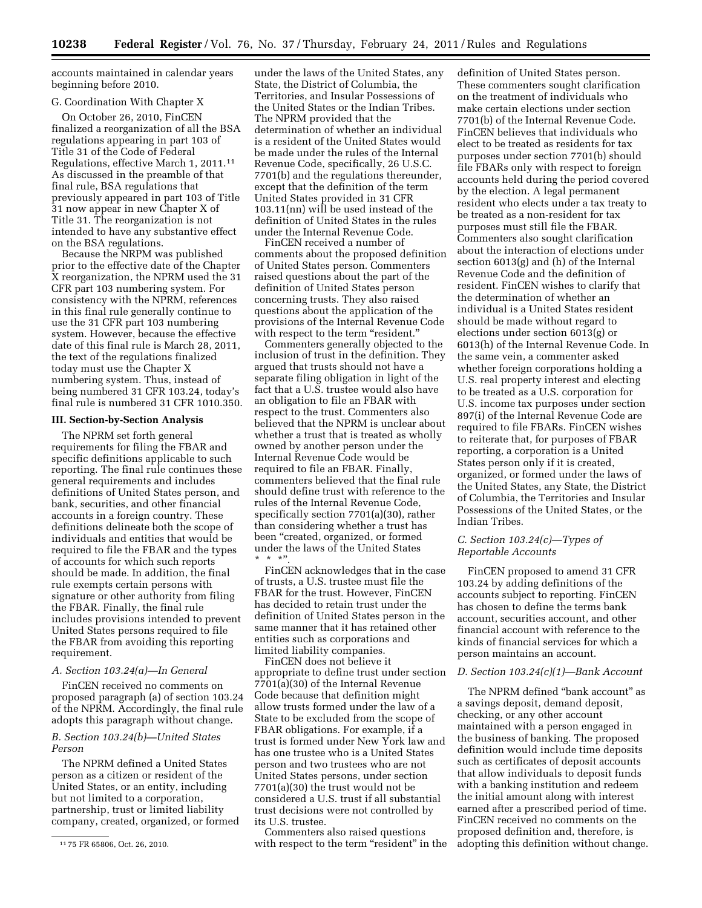accounts maintained in calendar years beginning before 2010.

#### G. Coordination With Chapter X

On October 26, 2010, FinCEN finalized a reorganization of all the BSA regulations appearing in part 103 of Title 31 of the Code of Federal Regulations, effective March 1, 2011.11 As discussed in the preamble of that final rule, BSA regulations that previously appeared in part 103 of Title 31 now appear in new Chapter X of Title 31. The reorganization is not intended to have any substantive effect on the BSA regulations.

Because the NRPM was published prior to the effective date of the Chapter X reorganization, the NPRM used the 31 CFR part 103 numbering system. For consistency with the NPRM, references in this final rule generally continue to use the 31 CFR part 103 numbering system. However, because the effective date of this final rule is March 28, 2011, the text of the regulations finalized today must use the Chapter X numbering system. Thus, instead of being numbered 31 CFR 103.24, today's final rule is numbered 31 CFR 1010.350.

### **III. Section-by-Section Analysis**

The NPRM set forth general requirements for filing the FBAR and specific definitions applicable to such reporting. The final rule continues these general requirements and includes definitions of United States person, and bank, securities, and other financial accounts in a foreign country. These definitions delineate both the scope of individuals and entities that would be required to file the FBAR and the types of accounts for which such reports should be made. In addition, the final rule exempts certain persons with signature or other authority from filing the FBAR. Finally, the final rule includes provisions intended to prevent United States persons required to file the FBAR from avoiding this reporting requirement.

### *A. Section 103.24(a)—In General*

FinCEN received no comments on proposed paragraph (a) of section 103.24 of the NPRM. Accordingly, the final rule adopts this paragraph without change.

### *B. Section 103.24(b)—United States Person*

The NPRM defined a United States person as a citizen or resident of the United States, or an entity, including but not limited to a corporation, partnership, trust or limited liability company, created, organized, or formed

under the laws of the United States, any State, the District of Columbia, the Territories, and Insular Possessions of the United States or the Indian Tribes. The NPRM provided that the determination of whether an individual is a resident of the United States would be made under the rules of the Internal Revenue Code, specifically, 26 U.S.C. 7701(b) and the regulations thereunder, except that the definition of the term United States provided in 31 CFR 103.11(nn) will be used instead of the definition of United States in the rules under the Internal Revenue Code.

FinCEN received a number of comments about the proposed definition of United States person. Commenters raised questions about the part of the definition of United States person concerning trusts. They also raised questions about the application of the provisions of the Internal Revenue Code with respect to the term "resident.'

Commenters generally objected to the inclusion of trust in the definition. They argued that trusts should not have a separate filing obligation in light of the fact that a U.S. trustee would also have an obligation to file an FBAR with respect to the trust. Commenters also believed that the NPRM is unclear about whether a trust that is treated as wholly owned by another person under the Internal Revenue Code would be required to file an FBAR. Finally, commenters believed that the final rule should define trust with reference to the rules of the Internal Revenue Code, specifically section 7701(a)(30), rather than considering whether a trust has been ''created, organized, or formed under the laws of the United States  $*$  \* \*"

FinCEN acknowledges that in the case of trusts, a U.S. trustee must file the FBAR for the trust. However, FinCEN has decided to retain trust under the definition of United States person in the same manner that it has retained other entities such as corporations and limited liability companies.

FinCEN does not believe it appropriate to define trust under section 7701(a)(30) of the Internal Revenue Code because that definition might allow trusts formed under the law of a State to be excluded from the scope of FBAR obligations. For example, if a trust is formed under New York law and has one trustee who is a United States person and two trustees who are not United States persons, under section 7701(a)(30) the trust would not be considered a U.S. trust if all substantial trust decisions were not controlled by its U.S. trustee.

Commenters also raised questions with respect to the term "resident" in the

definition of United States person. These commenters sought clarification on the treatment of individuals who make certain elections under section 7701(b) of the Internal Revenue Code. FinCEN believes that individuals who elect to be treated as residents for tax purposes under section 7701(b) should file FBARs only with respect to foreign accounts held during the period covered by the election. A legal permanent resident who elects under a tax treaty to be treated as a non-resident for tax purposes must still file the FBAR. Commenters also sought clarification about the interaction of elections under section 6013(g) and (h) of the Internal Revenue Code and the definition of resident. FinCEN wishes to clarify that the determination of whether an individual is a United States resident should be made without regard to elections under section 6013(g) or 6013(h) of the Internal Revenue Code. In the same vein, a commenter asked whether foreign corporations holding a U.S. real property interest and electing to be treated as a U.S. corporation for U.S. income tax purposes under section 897(i) of the Internal Revenue Code are required to file FBARs. FinCEN wishes to reiterate that, for purposes of FBAR reporting, a corporation is a United States person only if it is created, organized, or formed under the laws of the United States, any State, the District of Columbia, the Territories and Insular Possessions of the United States, or the Indian Tribes.

## *C. Section 103.24(c)—Types of Reportable Accounts*

FinCEN proposed to amend 31 CFR 103.24 by adding definitions of the accounts subject to reporting. FinCEN has chosen to define the terms bank account, securities account, and other financial account with reference to the kinds of financial services for which a person maintains an account.

### *D. Section 103.24(c)(1)—Bank Account*

The NPRM defined "bank account" as a savings deposit, demand deposit, checking, or any other account maintained with a person engaged in the business of banking. The proposed definition would include time deposits such as certificates of deposit accounts that allow individuals to deposit funds with a banking institution and redeem the initial amount along with interest earned after a prescribed period of time. FinCEN received no comments on the proposed definition and, therefore, is adopting this definition without change.

<sup>11</sup> 75 FR 65806, Oct. 26, 2010.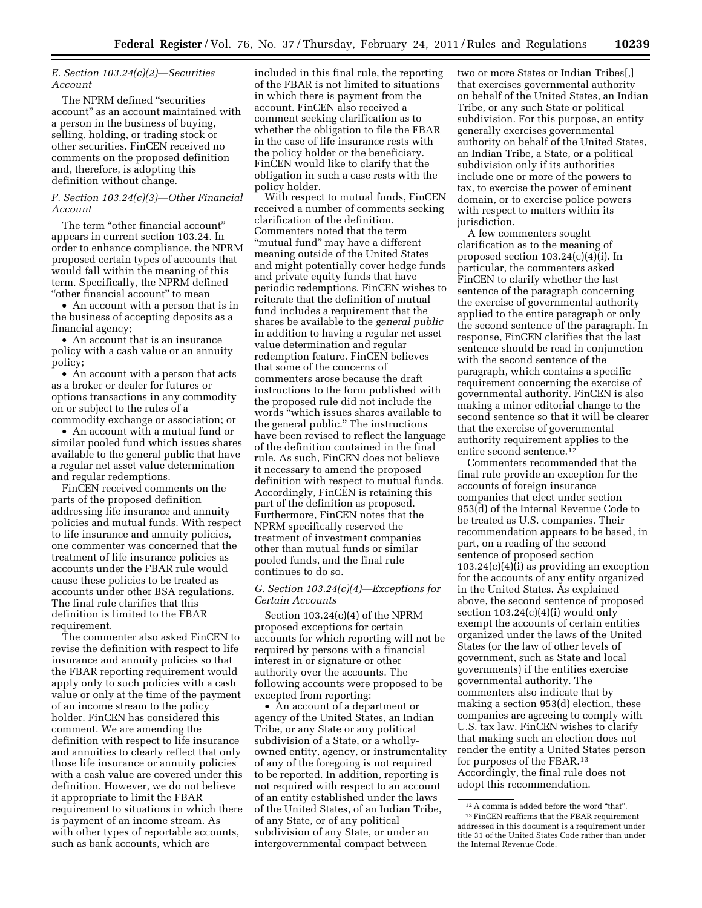## *E. Section 103.24(c)(2)—Securities Account*

The NPRM defined "securities account'' as an account maintained with a person in the business of buying, selling, holding, or trading stock or other securities. FinCEN received no comments on the proposed definition and, therefore, is adopting this definition without change.

### *F. Section 103.24(c)(3)—Other Financial Account*

The term "other financial account" appears in current section 103.24. In order to enhance compliance, the NPRM proposed certain types of accounts that would fall within the meaning of this term. Specifically, the NPRM defined ''other financial account'' to mean

• An account with a person that is in the business of accepting deposits as a financial agency;

• An account that is an insurance policy with a cash value or an annuity policy;

• An account with a person that acts as a broker or dealer for futures or options transactions in any commodity on or subject to the rules of a commodity exchange or association; or

• An account with a mutual fund or similar pooled fund which issues shares available to the general public that have a regular net asset value determination and regular redemptions.

FinCEN received comments on the parts of the proposed definition addressing life insurance and annuity policies and mutual funds. With respect to life insurance and annuity policies, one commenter was concerned that the treatment of life insurance policies as accounts under the FBAR rule would cause these policies to be treated as accounts under other BSA regulations. The final rule clarifies that this definition is limited to the FBAR requirement.

The commenter also asked FinCEN to revise the definition with respect to life insurance and annuity policies so that the FBAR reporting requirement would apply only to such policies with a cash value or only at the time of the payment of an income stream to the policy holder. FinCEN has considered this comment. We are amending the definition with respect to life insurance and annuities to clearly reflect that only those life insurance or annuity policies with a cash value are covered under this definition. However, we do not believe it appropriate to limit the FBAR requirement to situations in which there is payment of an income stream. As with other types of reportable accounts, such as bank accounts, which are

included in this final rule, the reporting of the FBAR is not limited to situations in which there is payment from the account. FinCEN also received a comment seeking clarification as to whether the obligation to file the FBAR in the case of life insurance rests with the policy holder or the beneficiary. FinCEN would like to clarify that the obligation in such a case rests with the policy holder.

With respect to mutual funds, FinCEN received a number of comments seeking clarification of the definition. Commenters noted that the term ''mutual fund'' may have a different meaning outside of the United States and might potentially cover hedge funds and private equity funds that have periodic redemptions. FinCEN wishes to reiterate that the definition of mutual fund includes a requirement that the shares be available to the *general public*  in addition to having a regular net asset value determination and regular redemption feature. FinCEN believes that some of the concerns of commenters arose because the draft instructions to the form published with the proposed rule did not include the words ''which issues shares available to the general public.'' The instructions have been revised to reflect the language of the definition contained in the final rule. As such, FinCEN does not believe it necessary to amend the proposed definition with respect to mutual funds. Accordingly, FinCEN is retaining this part of the definition as proposed. Furthermore, FinCEN notes that the NPRM specifically reserved the treatment of investment companies other than mutual funds or similar pooled funds, and the final rule continues to do so.

### *G. Section 103.24(c)(4)—Exceptions for Certain Accounts*

Section 103.24(c)(4) of the NPRM proposed exceptions for certain accounts for which reporting will not be required by persons with a financial interest in or signature or other authority over the accounts. The following accounts were proposed to be excepted from reporting:

• An account of a department or agency of the United States, an Indian Tribe, or any State or any political subdivision of a State, or a whollyowned entity, agency, or instrumentality of any of the foregoing is not required to be reported. In addition, reporting is not required with respect to an account of an entity established under the laws of the United States, of an Indian Tribe, of any State, or of any political subdivision of any State, or under an intergovernmental compact between

two or more States or Indian Tribes[,] that exercises governmental authority on behalf of the United States, an Indian Tribe, or any such State or political subdivision. For this purpose, an entity generally exercises governmental authority on behalf of the United States, an Indian Tribe, a State, or a political subdivision only if its authorities include one or more of the powers to tax, to exercise the power of eminent domain, or to exercise police powers with respect to matters within its jurisdiction.

A few commenters sought clarification as to the meaning of proposed section 103.24(c)(4)(i). In particular, the commenters asked FinCEN to clarify whether the last sentence of the paragraph concerning the exercise of governmental authority applied to the entire paragraph or only the second sentence of the paragraph. In response, FinCEN clarifies that the last sentence should be read in conjunction with the second sentence of the paragraph, which contains a specific requirement concerning the exercise of governmental authority. FinCEN is also making a minor editorial change to the second sentence so that it will be clearer that the exercise of governmental authority requirement applies to the entire second sentence.12

Commenters recommended that the final rule provide an exception for the accounts of foreign insurance companies that elect under section 953(d) of the Internal Revenue Code to be treated as U.S. companies. Their recommendation appears to be based, in part, on a reading of the second sentence of proposed section  $103.24(c)(4)(i)$  as providing an exception for the accounts of any entity organized in the United States. As explained above, the second sentence of proposed section  $103.24(c)(4)(i)$  would only exempt the accounts of certain entities organized under the laws of the United States (or the law of other levels of government, such as State and local governments) if the entities exercise governmental authority. The commenters also indicate that by making a section 953(d) election, these companies are agreeing to comply with U.S. tax law. FinCEN wishes to clarify that making such an election does not render the entity a United States person for purposes of the FBAR.13 Accordingly, the final rule does not adopt this recommendation.

 $^{12}\,\mathrm{A}$  comma is added before the word "that". 13FinCEN reaffirms that the FBAR requirement addressed in this document is a requirement under title 31 of the United States Code rather than under the Internal Revenue Code.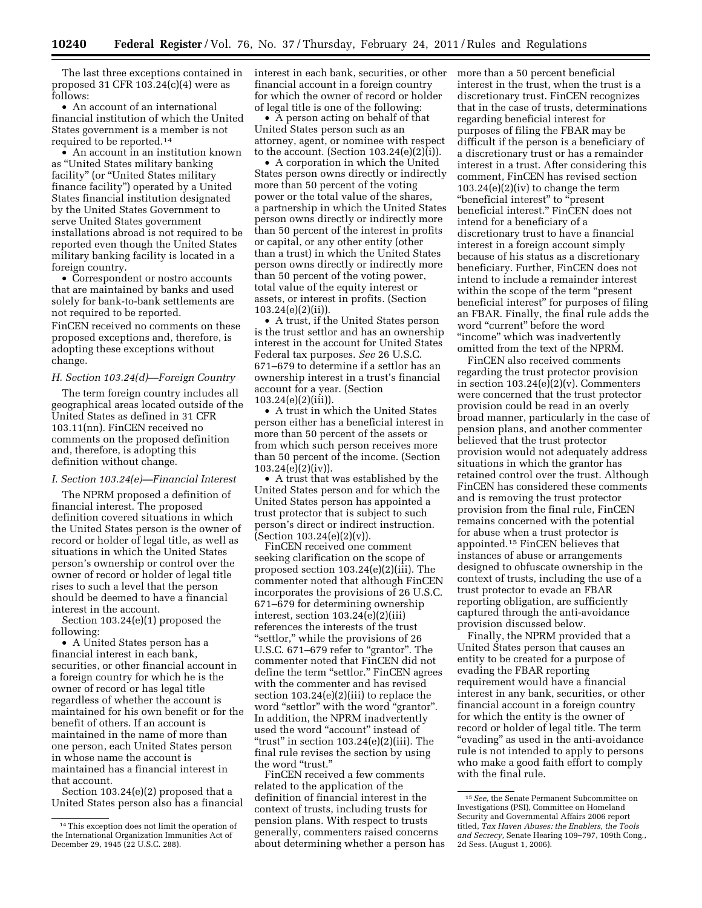The last three exceptions contained in proposed 31 CFR  $103.24(c)(4)$  were as follows:

• An account of an international financial institution of which the United States government is a member is not required to be reported.14

• An account in an institution known as ''United States military banking facility" (or "United States military finance facility'') operated by a United States financial institution designated by the United States Government to serve United States government installations abroad is not required to be reported even though the United States military banking facility is located in a foreign country.

• Correspondent or nostro accounts that are maintained by banks and used solely for bank-to-bank settlements are not required to be reported. FinCEN received no comments on these proposed exceptions and, therefore, is adopting these exceptions without change.

## *H. Section 103.24(d)—Foreign Country*

The term foreign country includes all geographical areas located outside of the United States as defined in 31 CFR 103.11(nn). FinCEN received no comments on the proposed definition and, therefore, is adopting this definition without change.

#### *I. Section 103.24(e)—Financial Interest*

The NPRM proposed a definition of financial interest. The proposed definition covered situations in which the United States person is the owner of record or holder of legal title, as well as situations in which the United States person's ownership or control over the owner of record or holder of legal title rises to such a level that the person should be deemed to have a financial interest in the account.

Section 103.24(e)(1) proposed the following:

• A United States person has a financial interest in each bank, securities, or other financial account in a foreign country for which he is the owner of record or has legal title regardless of whether the account is maintained for his own benefit or for the benefit of others. If an account is maintained in the name of more than one person, each United States person in whose name the account is maintained has a financial interest in that account.

Section 103.24(e)(2) proposed that a United States person also has a financial interest in each bank, securities, or other financial account in a foreign country for which the owner of record or holder of legal title is one of the following:

• A person acting on behalf of that United States person such as an attorney, agent, or nominee with respect to the account. (Section  $103.24(e)(2)(i)$ ).

• A corporation in which the United States person owns directly or indirectly more than 50 percent of the voting power or the total value of the shares, a partnership in which the United States person owns directly or indirectly more than 50 percent of the interest in profits or capital, or any other entity (other than a trust) in which the United States person owns directly or indirectly more than 50 percent of the voting power, total value of the equity interest or assets, or interest in profits. (Section 103.24(e)(2)(ii)).

• A trust, if the United States person is the trust settlor and has an ownership interest in the account for United States Federal tax purposes. *See* 26 U.S.C. 671–679 to determine if a settlor has an ownership interest in a trust's financial account for a year. (Section 103.24(e)(2)(iii)).

• A trust in which the United States person either has a beneficial interest in more than 50 percent of the assets or from which such person receives more than 50 percent of the income. (Section 103.24(e)(2)(iv)).

• A trust that was established by the United States person and for which the United States person has appointed a trust protector that is subject to such person's direct or indirect instruction. (Section 103.24(e)(2)(v)).

FinCEN received one comment seeking clarification on the scope of proposed section 103.24(e)(2)(iii). The commenter noted that although FinCEN incorporates the provisions of 26 U.S.C. 671–679 for determining ownership interest, section 103.24(e)(2)(iii) references the interests of the trust "settlor," while the provisions of 26 U.S.C. 671–679 refer to "grantor". The commenter noted that FinCEN did not define the term "settlor." FinCEN agrees with the commenter and has revised section 103.24(e)(2)(iii) to replace the word "settlor" with the word "grantor". In addition, the NPRM inadvertently used the word "account" instead of "trust" in section  $103.24(e)(2)(iii)$ . The final rule revises the section by using the word "trust."

FinCEN received a few comments related to the application of the definition of financial interest in the context of trusts, including trusts for pension plans. With respect to trusts generally, commenters raised concerns about determining whether a person has more than a 50 percent beneficial interest in the trust, when the trust is a discretionary trust. FinCEN recognizes that in the case of trusts, determinations regarding beneficial interest for purposes of filing the FBAR may be difficult if the person is a beneficiary of a discretionary trust or has a remainder interest in a trust. After considering this comment, FinCEN has revised section 103.24(e)(2)(iv) to change the term ''beneficial interest'' to ''present beneficial interest.'' FinCEN does not intend for a beneficiary of a discretionary trust to have a financial interest in a foreign account simply because of his status as a discretionary beneficiary. Further, FinCEN does not intend to include a remainder interest within the scope of the term ''present beneficial interest'' for purposes of filing an FBAR. Finally, the final rule adds the word "current" before the word ''income'' which was inadvertently omitted from the text of the NPRM.

FinCEN also received comments regarding the trust protector provision in section  $103.24(e)(2)(v)$ . Commenters were concerned that the trust protector provision could be read in an overly broad manner, particularly in the case of pension plans, and another commenter believed that the trust protector provision would not adequately address situations in which the grantor has retained control over the trust. Although FinCEN has considered these comments and is removing the trust protector provision from the final rule, FinCEN remains concerned with the potential for abuse when a trust protector is appointed.15 FinCEN believes that instances of abuse or arrangements designed to obfuscate ownership in the context of trusts, including the use of a trust protector to evade an FBAR reporting obligation, are sufficiently captured through the anti-avoidance provision discussed below.

Finally, the NPRM provided that a United States person that causes an entity to be created for a purpose of evading the FBAR reporting requirement would have a financial interest in any bank, securities, or other financial account in a foreign country for which the entity is the owner of record or holder of legal title. The term ''evading'' as used in the anti-avoidance rule is not intended to apply to persons who make a good faith effort to comply with the final rule.

<sup>14</sup>This exception does not limit the operation of the International Organization Immunities Act of December 29, 1945 (22 U.S.C. 288).

<sup>15</sup>*See,* the Senate Permanent Subcommittee on Investigations (PSI), Committee on Homeland Security and Governmental Affairs 2006 report titled, *Tax Haven Abuses: the Enablers, the Tools and Secrecy,* Senate Hearing 109–797, 109th Cong., 2d Sess. (August 1, 2006).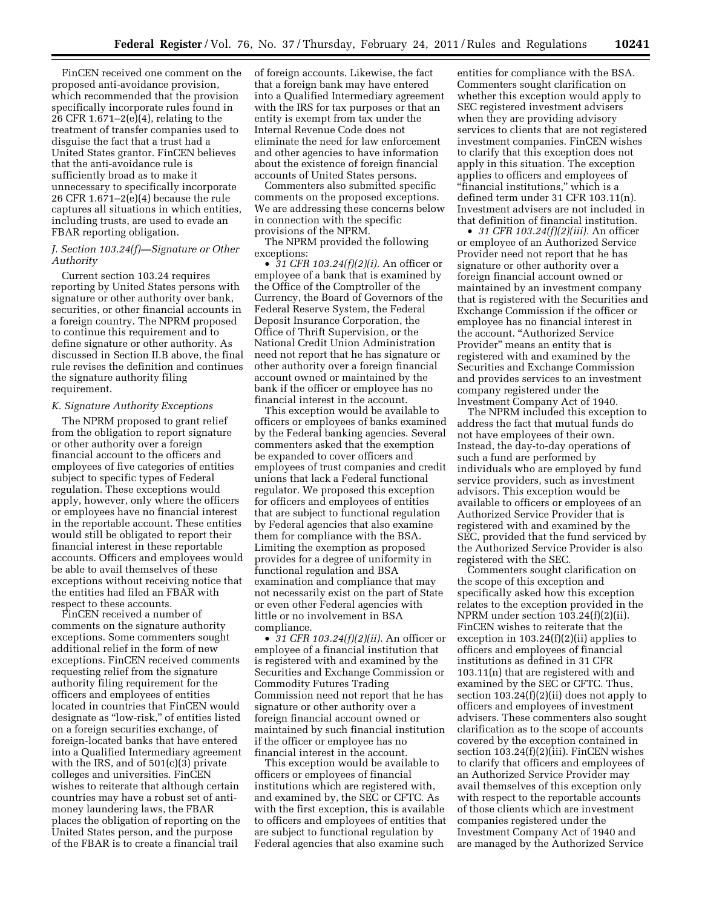FinCEN received one comment on the proposed anti-avoidance provision, which recommended that the provision specifically incorporate rules found in 26 CFR 1.671–2(e)(4), relating to the treatment of transfer companies used to disguise the fact that a trust had a United States grantor. FinCEN believes that the anti-avoidance rule is sufficiently broad as to make it unnecessary to specifically incorporate 26 CFR 1.671–2(e)(4) because the rule captures all situations in which entities, including trusts, are used to evade an FBAR reporting obligation.

### *J. Section 103.24(f)—Signature or Other Authority*

Current section 103.24 requires reporting by United States persons with signature or other authority over bank, securities, or other financial accounts in a foreign country. The NPRM proposed to continue this requirement and to define signature or other authority. As discussed in Section II.B above, the final rule revises the definition and continues the signature authority filing requirement.

#### *K. Signature Authority Exceptions*

The NPRM proposed to grant relief from the obligation to report signature or other authority over a foreign financial account to the officers and employees of five categories of entities subject to specific types of Federal regulation. These exceptions would apply, however, only where the officers or employees have no financial interest in the reportable account. These entities would still be obligated to report their financial interest in these reportable accounts. Officers and employees would be able to avail themselves of these exceptions without receiving notice that the entities had filed an FBAR with respect to these accounts.

FinCEN received a number of comments on the signature authority exceptions. Some commenters sought additional relief in the form of new exceptions. FinCEN received comments requesting relief from the signature authority filing requirement for the officers and employees of entities located in countries that FinCEN would designate as ''low-risk,'' of entities listed on a foreign securities exchange, of foreign-located banks that have entered into a Qualified Intermediary agreement with the IRS, and of 501(c)(3) private colleges and universities. FinCEN wishes to reiterate that although certain countries may have a robust set of antimoney laundering laws, the FBAR places the obligation of reporting on the United States person, and the purpose of the FBAR is to create a financial trail

of foreign accounts. Likewise, the fact that a foreign bank may have entered into a Qualified Intermediary agreement with the IRS for tax purposes or that an entity is exempt from tax under the Internal Revenue Code does not eliminate the need for law enforcement and other agencies to have information about the existence of foreign financial accounts of United States persons.

Commenters also submitted specific comments on the proposed exceptions. We are addressing these concerns below in connection with the specific provisions of the NPRM.

The NPRM provided the following exceptions:

• *31 CFR 103.24(f)(2)(i).* An officer or employee of a bank that is examined by the Office of the Comptroller of the Currency, the Board of Governors of the Federal Reserve System, the Federal Deposit Insurance Corporation, the Office of Thrift Supervision, or the National Credit Union Administration need not report that he has signature or other authority over a foreign financial account owned or maintained by the bank if the officer or employee has no financial interest in the account.

This exception would be available to officers or employees of banks examined by the Federal banking agencies. Several commenters asked that the exemption be expanded to cover officers and employees of trust companies and credit unions that lack a Federal functional regulator. We proposed this exception for officers and employees of entities that are subject to functional regulation by Federal agencies that also examine them for compliance with the BSA. Limiting the exemption as proposed provides for a degree of uniformity in functional regulation and BSA examination and compliance that may not necessarily exist on the part of State or even other Federal agencies with little or no involvement in BSA compliance.

• *31 CFR 103.24(f)(2)(ii).* An officer or employee of a financial institution that is registered with and examined by the Securities and Exchange Commission or Commodity Futures Trading Commission need not report that he has signature or other authority over a foreign financial account owned or maintained by such financial institution if the officer or employee has no financial interest in the account.

This exception would be available to officers or employees of financial institutions which are registered with, and examined by, the SEC or CFTC. As with the first exception, this is available to officers and employees of entities that are subject to functional regulation by Federal agencies that also examine such

entities for compliance with the BSA. Commenters sought clarification on whether this exception would apply to SEC registered investment advisers when they are providing advisory services to clients that are not registered investment companies. FinCEN wishes to clarify that this exception does not apply in this situation. The exception applies to officers and employees of ''financial institutions,'' which is a defined term under 31 CFR 103.11(n). Investment advisers are not included in that definition of financial institution.

• *31 CFR 103.24(f)(2)(iii).* An officer or employee of an Authorized Service Provider need not report that he has signature or other authority over a foreign financial account owned or maintained by an investment company that is registered with the Securities and Exchange Commission if the officer or employee has no financial interest in the account. ''Authorized Service Provider'' means an entity that is registered with and examined by the Securities and Exchange Commission and provides services to an investment company registered under the Investment Company Act of 1940.

The NPRM included this exception to address the fact that mutual funds do not have employees of their own. Instead, the day-to-day operations of such a fund are performed by individuals who are employed by fund service providers, such as investment advisors. This exception would be available to officers or employees of an Authorized Service Provider that is registered with and examined by the SEC, provided that the fund serviced by the Authorized Service Provider is also registered with the SEC.

Commenters sought clarification on the scope of this exception and specifically asked how this exception relates to the exception provided in the NPRM under section 103.24(f)(2)(ii). FinCEN wishes to reiterate that the exception in 103.24(f)(2)(ii) applies to officers and employees of financial institutions as defined in 31 CFR 103.11(n) that are registered with and examined by the SEC or CFTC. Thus, section 103.24(f)(2)(ii) does not apply to officers and employees of investment advisers. These commenters also sought clarification as to the scope of accounts covered by the exception contained in section 103.24(f)(2)(iii). FinCEN wishes to clarify that officers and employees of an Authorized Service Provider may avail themselves of this exception only with respect to the reportable accounts of those clients which are investment companies registered under the Investment Company Act of 1940 and are managed by the Authorized Service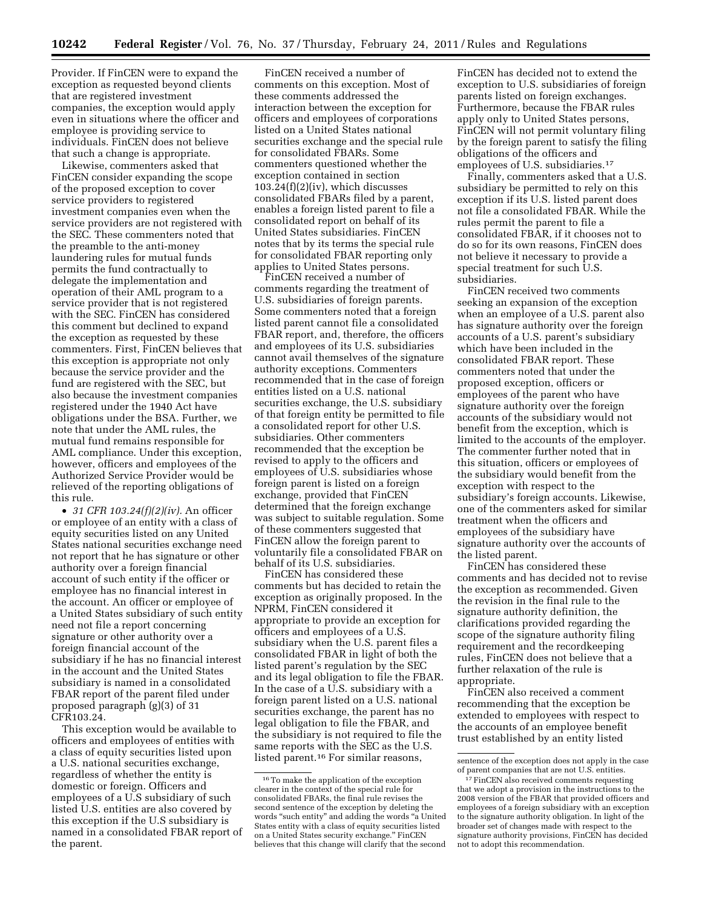Provider. If FinCEN were to expand the exception as requested beyond clients that are registered investment companies, the exception would apply even in situations where the officer and employee is providing service to individuals. FinCEN does not believe that such a change is appropriate.

Likewise, commenters asked that FinCEN consider expanding the scope of the proposed exception to cover service providers to registered investment companies even when the service providers are not registered with the SEC. These commenters noted that the preamble to the anti-money laundering rules for mutual funds permits the fund contractually to delegate the implementation and operation of their AML program to a service provider that is not registered with the SEC. FinCEN has considered this comment but declined to expand the exception as requested by these commenters. First, FinCEN believes that this exception is appropriate not only because the service provider and the fund are registered with the SEC, but also because the investment companies registered under the 1940 Act have obligations under the BSA. Further, we note that under the AML rules, the mutual fund remains responsible for AML compliance. Under this exception, however, officers and employees of the Authorized Service Provider would be relieved of the reporting obligations of this rule.

• *31 CFR 103.24(f)(2)(iv).* An officer or employee of an entity with a class of equity securities listed on any United States national securities exchange need not report that he has signature or other authority over a foreign financial account of such entity if the officer or employee has no financial interest in the account. An officer or employee of a United States subsidiary of such entity need not file a report concerning signature or other authority over a foreign financial account of the subsidiary if he has no financial interest in the account and the United States subsidiary is named in a consolidated FBAR report of the parent filed under proposed paragraph (g)(3) of 31 CFR103.24.

This exception would be available to officers and employees of entities with a class of equity securities listed upon a U.S. national securities exchange, regardless of whether the entity is domestic or foreign. Officers and employees of a U.S subsidiary of such listed U.S. entities are also covered by this exception if the U.S subsidiary is named in a consolidated FBAR report of the parent.

FinCEN received a number of comments on this exception. Most of these comments addressed the interaction between the exception for officers and employees of corporations listed on a United States national securities exchange and the special rule for consolidated FBARs. Some commenters questioned whether the exception contained in section  $103.24(f)(2)(iv)$ , which discusses consolidated FBARs filed by a parent, enables a foreign listed parent to file a consolidated report on behalf of its United States subsidiaries. FinCEN notes that by its terms the special rule for consolidated FBAR reporting only applies to United States persons.

FinCEN received a number of comments regarding the treatment of U.S. subsidiaries of foreign parents. Some commenters noted that a foreign listed parent cannot file a consolidated FBAR report, and, therefore, the officers and employees of its U.S. subsidiaries cannot avail themselves of the signature authority exceptions. Commenters recommended that in the case of foreign entities listed on a U.S. national securities exchange, the U.S. subsidiary of that foreign entity be permitted to file a consolidated report for other U.S. subsidiaries. Other commenters recommended that the exception be revised to apply to the officers and employees of U.S. subsidiaries whose foreign parent is listed on a foreign exchange, provided that FinCEN determined that the foreign exchange was subject to suitable regulation. Some of these commenters suggested that FinCEN allow the foreign parent to voluntarily file a consolidated FBAR on behalf of its U.S. subsidiaries.

FinCEN has considered these comments but has decided to retain the exception as originally proposed. In the NPRM, FinCEN considered it appropriate to provide an exception for officers and employees of a U.S. subsidiary when the U.S. parent files a consolidated FBAR in light of both the listed parent's regulation by the SEC and its legal obligation to file the FBAR. In the case of a U.S. subsidiary with a foreign parent listed on a U.S. national securities exchange, the parent has no legal obligation to file the FBAR, and the subsidiary is not required to file the same reports with the SEC as the U.S. listed parent.16 For similar reasons,

FinCEN has decided not to extend the exception to U.S. subsidiaries of foreign parents listed on foreign exchanges. Furthermore, because the FBAR rules apply only to United States persons, FinCEN will not permit voluntary filing by the foreign parent to satisfy the filing obligations of the officers and employees of U.S. subsidiaries.17

Finally, commenters asked that a U.S. subsidiary be permitted to rely on this exception if its U.S. listed parent does not file a consolidated FBAR. While the rules permit the parent to file a consolidated FBAR, if it chooses not to do so for its own reasons, FinCEN does not believe it necessary to provide a special treatment for such U.S. subsidiaries.

FinCEN received two comments seeking an expansion of the exception when an employee of a U.S. parent also has signature authority over the foreign accounts of a U.S. parent's subsidiary which have been included in the consolidated FBAR report. These commenters noted that under the proposed exception, officers or employees of the parent who have signature authority over the foreign accounts of the subsidiary would not benefit from the exception, which is limited to the accounts of the employer. The commenter further noted that in this situation, officers or employees of the subsidiary would benefit from the exception with respect to the subsidiary's foreign accounts. Likewise, one of the commenters asked for similar treatment when the officers and employees of the subsidiary have signature authority over the accounts of the listed parent.

FinCEN has considered these comments and has decided not to revise the exception as recommended. Given the revision in the final rule to the signature authority definition, the clarifications provided regarding the scope of the signature authority filing requirement and the recordkeeping rules, FinCEN does not believe that a further relaxation of the rule is appropriate.

FinCEN also received a comment recommending that the exception be extended to employees with respect to the accounts of an employee benefit trust established by an entity listed

<sup>16</sup>To make the application of the exception clearer in the context of the special rule for consolidated FBARs, the final rule revises the second sentence of the exception by deleting the words "such entity" and adding the words "a United States entity with a class of equity securities listed on a United States security exchange.'' FinCEN believes that this change will clarify that the second

sentence of the exception does not apply in the case of parent companies that are not U.S. entities.

<sup>&</sup>lt;sup>17</sup> FinCEN also received comments requesting that we adopt a provision in the instructions to the 2008 version of the FBAR that provided officers and employees of a foreign subsidiary with an exception to the signature authority obligation. In light of the broader set of changes made with respect to the signature authority provisions, FinCEN has decided not to adopt this recommendation.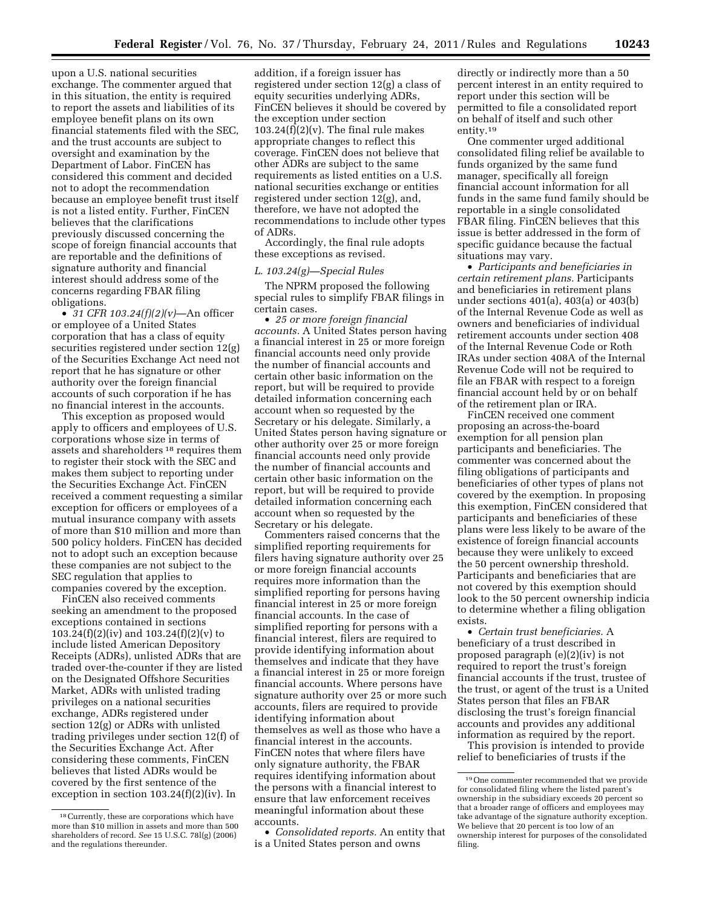upon a U.S. national securities exchange. The commenter argued that in this situation, the entity is required to report the assets and liabilities of its employee benefit plans on its own financial statements filed with the SEC, and the trust accounts are subject to oversight and examination by the Department of Labor. FinCEN has considered this comment and decided not to adopt the recommendation because an employee benefit trust itself is not a listed entity. Further, FinCEN believes that the clarifications previously discussed concerning the scope of foreign financial accounts that are reportable and the definitions of signature authority and financial interest should address some of the concerns regarding FBAR filing obligations.

• *31 CFR 103.24(f)(2)(v)*—An officer or employee of a United States corporation that has a class of equity securities registered under section 12(g) of the Securities Exchange Act need not report that he has signature or other authority over the foreign financial accounts of such corporation if he has no financial interest in the accounts.

This exception as proposed would apply to officers and employees of U.S. corporations whose size in terms of assets and shareholders 18 requires them to register their stock with the SEC and makes them subject to reporting under the Securities Exchange Act. FinCEN received a comment requesting a similar exception for officers or employees of a mutual insurance company with assets of more than \$10 million and more than 500 policy holders. FinCEN has decided not to adopt such an exception because these companies are not subject to the SEC regulation that applies to companies covered by the exception.

FinCEN also received comments seeking an amendment to the proposed exceptions contained in sections 103.24(f)(2)(iv) and 103.24(f)(2)(v) to include listed American Depository Receipts (ADRs), unlisted ADRs that are traded over-the-counter if they are listed on the Designated Offshore Securities Market, ADRs with unlisted trading privileges on a national securities exchange, ADRs registered under section 12(g) or ADRs with unlisted trading privileges under section 12(f) of the Securities Exchange Act. After considering these comments, FinCEN believes that listed ADRs would be covered by the first sentence of the exception in section 103.24(f)(2)(iv). In

addition, if a foreign issuer has registered under section 12(g) a class of equity securities underlying ADRs, FinCEN believes it should be covered by the exception under section  $103.24(f)(2)(v)$ . The final rule makes appropriate changes to reflect this coverage. FinCEN does not believe that other ADRs are subject to the same requirements as listed entities on a U.S. national securities exchange or entities registered under section 12(g), and, therefore, we have not adopted the recommendations to include other types of ADRs.

Accordingly, the final rule adopts these exceptions as revised.

#### *L. 103.24(g)—Special Rules*

The NPRM proposed the following special rules to simplify FBAR filings in certain cases.

• *25 or more foreign financial accounts.* A United States person having a financial interest in 25 or more foreign financial accounts need only provide the number of financial accounts and certain other basic information on the report, but will be required to provide detailed information concerning each account when so requested by the Secretary or his delegate. Similarly, a United States person having signature or other authority over 25 or more foreign financial accounts need only provide the number of financial accounts and certain other basic information on the report, but will be required to provide detailed information concerning each account when so requested by the Secretary or his delegate.

Commenters raised concerns that the simplified reporting requirements for filers having signature authority over 25 or more foreign financial accounts requires more information than the simplified reporting for persons having financial interest in 25 or more foreign financial accounts. In the case of simplified reporting for persons with a financial interest, filers are required to provide identifying information about themselves and indicate that they have a financial interest in 25 or more foreign financial accounts. Where persons have signature authority over 25 or more such accounts, filers are required to provide identifying information about themselves as well as those who have a financial interest in the accounts. FinCEN notes that where filers have only signature authority, the FBAR requires identifying information about the persons with a financial interest to ensure that law enforcement receives meaningful information about these accounts.

• *Consolidated reports.* An entity that is a United States person and owns

directly or indirectly more than a 50 percent interest in an entity required to report under this section will be permitted to file a consolidated report on behalf of itself and such other entity.19

One commenter urged additional consolidated filing relief be available to funds organized by the same fund manager, specifically all foreign financial account information for all funds in the same fund family should be reportable in a single consolidated FBAR filing. FinCEN believes that this issue is better addressed in the form of specific guidance because the factual situations may vary.

• *Participants and beneficiaries in certain retirement plans.* Participants and beneficiaries in retirement plans under sections 401(a), 403(a) or 403(b) of the Internal Revenue Code as well as owners and beneficiaries of individual retirement accounts under section 408 of the Internal Revenue Code or Roth IRAs under section 408A of the Internal Revenue Code will not be required to file an FBAR with respect to a foreign financial account held by or on behalf of the retirement plan or IRA.

FinCEN received one comment proposing an across-the-board exemption for all pension plan participants and beneficiaries. The commenter was concerned about the filing obligations of participants and beneficiaries of other types of plans not covered by the exemption. In proposing this exemption, FinCEN considered that participants and beneficiaries of these plans were less likely to be aware of the existence of foreign financial accounts because they were unlikely to exceed the 50 percent ownership threshold. Participants and beneficiaries that are not covered by this exemption should look to the 50 percent ownership indicia to determine whether a filing obligation exists.

• *Certain trust beneficiaries.* A beneficiary of a trust described in proposed paragraph (e)(2)(iv) is not required to report the trust's foreign financial accounts if the trust, trustee of the trust, or agent of the trust is a United States person that files an FBAR disclosing the trust's foreign financial accounts and provides any additional information as required by the report.

This provision is intended to provide relief to beneficiaries of trusts if the

<sup>18</sup>Currently, these are corporations which have more than \$10 million in assets and more than 500 shareholders of record. *See* 15 U.S.C. 78l(g) (2006) and the regulations thereunder.

<sup>19</sup>One commenter recommended that we provide for consolidated filing where the listed parent's ownership in the subsidiary exceeds 20 percent so that a broader range of officers and employees may take advantage of the signature authority exception. We believe that 20 percent is too low of an ownership interest for purposes of the consolidated filing.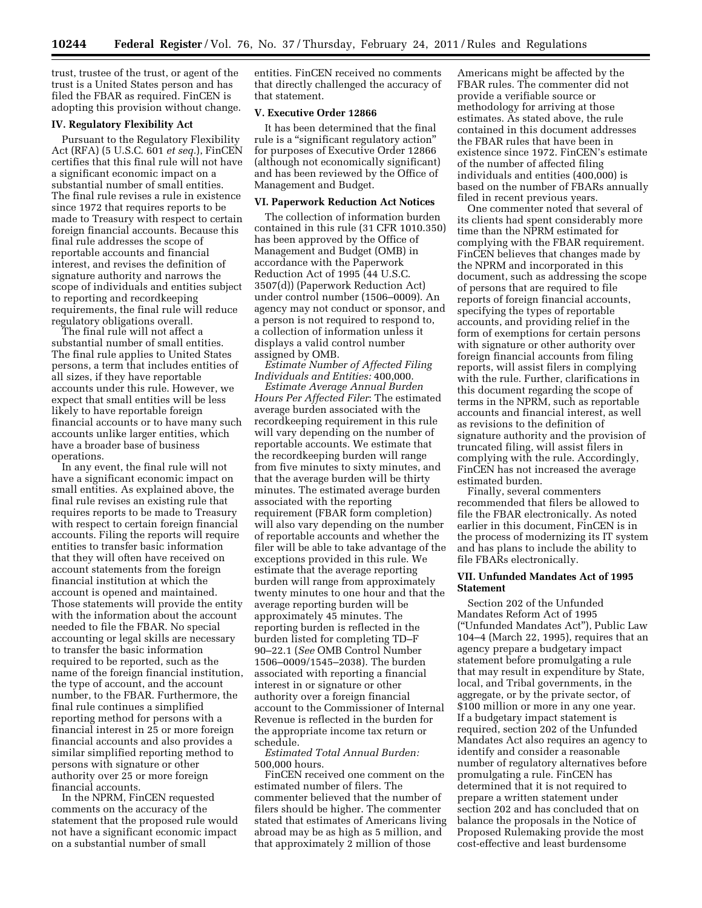trust, trustee of the trust, or agent of the trust is a United States person and has filed the FBAR as required. FinCEN is adopting this provision without change.

## **IV. Regulatory Flexibility Act**

Pursuant to the Regulatory Flexibility Act (RFA) (5 U.S.C. 601 *et seq.*), FinCEN certifies that this final rule will not have a significant economic impact on a substantial number of small entities. The final rule revises a rule in existence since 1972 that requires reports to be made to Treasury with respect to certain foreign financial accounts. Because this final rule addresses the scope of reportable accounts and financial interest, and revises the definition of signature authority and narrows the scope of individuals and entities subject to reporting and recordkeeping requirements, the final rule will reduce regulatory obligations overall.

The final rule will not affect a substantial number of small entities. The final rule applies to United States persons, a term that includes entities of all sizes, if they have reportable accounts under this rule. However, we expect that small entities will be less likely to have reportable foreign financial accounts or to have many such accounts unlike larger entities, which have a broader base of business operations.

In any event, the final rule will not have a significant economic impact on small entities. As explained above, the final rule revises an existing rule that requires reports to be made to Treasury with respect to certain foreign financial accounts. Filing the reports will require entities to transfer basic information that they will often have received on account statements from the foreign financial institution at which the account is opened and maintained. Those statements will provide the entity with the information about the account needed to file the FBAR. No special accounting or legal skills are necessary to transfer the basic information required to be reported, such as the name of the foreign financial institution, the type of account, and the account number, to the FBAR. Furthermore, the final rule continues a simplified reporting method for persons with a financial interest in 25 or more foreign financial accounts and also provides a similar simplified reporting method to persons with signature or other authority over 25 or more foreign financial accounts.

In the NPRM, FinCEN requested comments on the accuracy of the statement that the proposed rule would not have a significant economic impact on a substantial number of small

entities. FinCEN received no comments that directly challenged the accuracy of that statement.

## **V. Executive Order 12866**

It has been determined that the final rule is a "significant regulatory action" for purposes of Executive Order 12866 (although not economically significant) and has been reviewed by the Office of Management and Budget.

#### **VI. Paperwork Reduction Act Notices**

The collection of information burden contained in this rule (31 CFR 1010.350) has been approved by the Office of Management and Budget (OMB) in accordance with the Paperwork Reduction Act of 1995 (44 U.S.C. 3507(d)) (Paperwork Reduction Act) under control number (1506–0009). An agency may not conduct or sponsor, and a person is not required to respond to, a collection of information unless it displays a valid control number assigned by OMB.

*Estimate Number of Affected Filing Individuals and Entities:* 400,000.

*Estimate Average Annual Burden Hours Per Affected Filer*: The estimated average burden associated with the recordkeeping requirement in this rule will vary depending on the number of reportable accounts. We estimate that the recordkeeping burden will range from five minutes to sixty minutes, and that the average burden will be thirty minutes. The estimated average burden associated with the reporting requirement (FBAR form completion) will also vary depending on the number of reportable accounts and whether the filer will be able to take advantage of the exceptions provided in this rule. We estimate that the average reporting burden will range from approximately twenty minutes to one hour and that the average reporting burden will be approximately 45 minutes. The reporting burden is reflected in the burden listed for completing TD–F 90–22.1 (*See* OMB Control Number 1506–0009/1545–2038). The burden associated with reporting a financial interest in or signature or other authority over a foreign financial account to the Commissioner of Internal Revenue is reflected in the burden for the appropriate income tax return or schedule.

*Estimated Total Annual Burden:*  500,000 hours.

FinCEN received one comment on the estimated number of filers. The commenter believed that the number of filers should be higher. The commenter stated that estimates of Americans living abroad may be as high as 5 million, and that approximately 2 million of those

Americans might be affected by the FBAR rules. The commenter did not provide a verifiable source or methodology for arriving at those estimates. As stated above, the rule contained in this document addresses the FBAR rules that have been in existence since 1972. FinCEN's estimate of the number of affected filing individuals and entities (400,000) is based on the number of FBARs annually filed in recent previous years.

One commenter noted that several of its clients had spent considerably more time than the NPRM estimated for complying with the FBAR requirement. FinCEN believes that changes made by the NPRM and incorporated in this document, such as addressing the scope of persons that are required to file reports of foreign financial accounts, specifying the types of reportable accounts, and providing relief in the form of exemptions for certain persons with signature or other authority over foreign financial accounts from filing reports, will assist filers in complying with the rule. Further, clarifications in this document regarding the scope of terms in the NPRM, such as reportable accounts and financial interest, as well as revisions to the definition of signature authority and the provision of truncated filing, will assist filers in complying with the rule. Accordingly, FinCEN has not increased the average estimated burden.

Finally, several commenters recommended that filers be allowed to file the FBAR electronically. As noted earlier in this document, FinCEN is in the process of modernizing its IT system and has plans to include the ability to file FBARs electronically.

## **VII. Unfunded Mandates Act of 1995 Statement**

Section 202 of the Unfunded Mandates Reform Act of 1995 (''Unfunded Mandates Act''), Public Law 104–4 (March 22, 1995), requires that an agency prepare a budgetary impact statement before promulgating a rule that may result in expenditure by State, local, and Tribal governments, in the aggregate, or by the private sector, of \$100 million or more in any one year. If a budgetary impact statement is required, section 202 of the Unfunded Mandates Act also requires an agency to identify and consider a reasonable number of regulatory alternatives before promulgating a rule. FinCEN has determined that it is not required to prepare a written statement under section 202 and has concluded that on balance the proposals in the Notice of Proposed Rulemaking provide the most cost-effective and least burdensome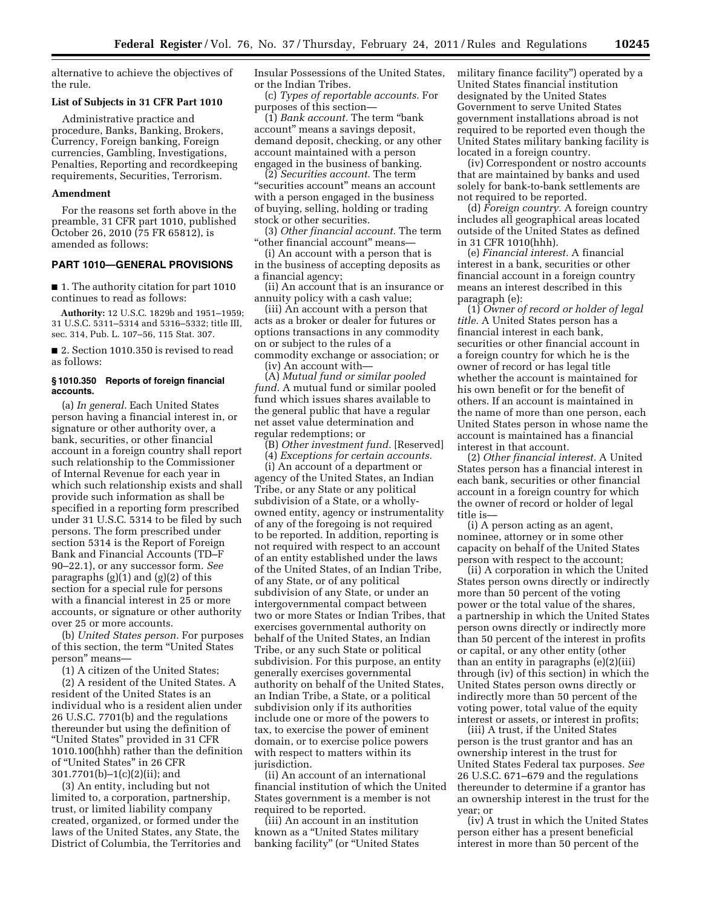alternative to achieve the objectives of the rule.

#### **List of Subjects in 31 CFR Part 1010**

Administrative practice and procedure, Banks, Banking, Brokers, Currency, Foreign banking, Foreign currencies, Gambling, Investigations, Penalties, Reporting and recordkeeping requirements, Securities, Terrorism.

### **Amendment**

For the reasons set forth above in the preamble, 31 CFR part 1010, published October 26, 2010 (75 FR 65812), is amended as follows:

## **PART 1010—GENERAL PROVISIONS**

■ 1. The authority citation for part 1010 continues to read as follows:

**Authority:** 12 U.S.C. 1829b and 1951–1959; 31 U.S.C. 5311–5314 and 5316–5332; title III, sec. 314, Pub. L. 107–56, 115 Stat. 307.

■ 2. Section 1010.350 is revised to read as follows:

#### **§ 1010.350 Reports of foreign financial accounts.**

(a) *In general.* Each United States person having a financial interest in, or signature or other authority over, a bank, securities, or other financial account in a foreign country shall report such relationship to the Commissioner of Internal Revenue for each year in which such relationship exists and shall provide such information as shall be specified in a reporting form prescribed under 31 U.S.C. 5314 to be filed by such persons. The form prescribed under section 5314 is the Report of Foreign Bank and Financial Accounts (TD–F 90–22.1), or any successor form. *See*  paragraphs  $(g)(1)$  and  $(g)(2)$  of this section for a special rule for persons with a financial interest in 25 or more accounts, or signature or other authority over 25 or more accounts.

(b) *United States person.* For purposes of this section, the term ''United States person'' means—

(1) A citizen of the United States;

(2) A resident of the United States. A resident of the United States is an individual who is a resident alien under 26 U.S.C. 7701(b) and the regulations thereunder but using the definition of ''United States'' provided in 31 CFR 1010.100(hhh) rather than the definition of ''United States'' in 26 CFR 301.7701(b)–1(c)(2)(ii); and

(3) An entity, including but not limited to, a corporation, partnership, trust, or limited liability company created, organized, or formed under the laws of the United States, any State, the District of Columbia, the Territories and Insular Possessions of the United States, or the Indian Tribes.

(c) *Types of reportable accounts.* For purposes of this section—

(1) *Bank account.* The term ''bank account'' means a savings deposit, demand deposit, checking, or any other account maintained with a person engaged in the business of banking.

(2) *Securities account.* The term "securities account" means an account with a person engaged in the business of buying, selling, holding or trading stock or other securities.

(3) *Other financial account.* The term "other financial account" means-

(i) An account with a person that is in the business of accepting deposits as a financial agency;

(ii) An account that is an insurance or annuity policy with a cash value;

(iii) An account with a person that acts as a broker or dealer for futures or options transactions in any commodity on or subject to the rules of a commodity exchange or association; or

(iv) An account with—

(A) *Mutual fund or similar pooled fund.* A mutual fund or similar pooled fund which issues shares available to the general public that have a regular net asset value determination and regular redemptions; or

(B) *Other investment fund.* [Reserved]

(4) *Exceptions for certain accounts.* 

(i) An account of a department or agency of the United States, an Indian Tribe, or any State or any political subdivision of a State, or a whollyowned entity, agency or instrumentality of any of the foregoing is not required to be reported. In addition, reporting is not required with respect to an account of an entity established under the laws of the United States, of an Indian Tribe, of any State, or of any political subdivision of any State, or under an intergovernmental compact between two or more States or Indian Tribes, that exercises governmental authority on behalf of the United States, an Indian Tribe, or any such State or political subdivision. For this purpose, an entity generally exercises governmental authority on behalf of the United States, an Indian Tribe, a State, or a political subdivision only if its authorities include one or more of the powers to tax, to exercise the power of eminent domain, or to exercise police powers with respect to matters within its jurisdiction.

(ii) An account of an international financial institution of which the United States government is a member is not required to be reported.

(iii) An account in an institution known as a ''United States military banking facility" (or "United States military finance facility'') operated by a United States financial institution designated by the United States Government to serve United States government installations abroad is not required to be reported even though the United States military banking facility is located in a foreign country.

(iv) Correspondent or nostro accounts that are maintained by banks and used solely for bank-to-bank settlements are not required to be reported.

(d) *Foreign country.* A foreign country includes all geographical areas located outside of the United States as defined in 31 CFR 1010(hhh).

(e) *Financial interest.* A financial interest in a bank, securities or other financial account in a foreign country means an interest described in this paragraph (e):

(1) *Owner of record or holder of legal title.* A United States person has a financial interest in each bank, securities or other financial account in a foreign country for which he is the owner of record or has legal title whether the account is maintained for his own benefit or for the benefit of others. If an account is maintained in the name of more than one person, each United States person in whose name the account is maintained has a financial interest in that account.

(2) *Other financial interest.* A United States person has a financial interest in each bank, securities or other financial account in a foreign country for which the owner of record or holder of legal title is—

(i) A person acting as an agent, nominee, attorney or in some other capacity on behalf of the United States person with respect to the account;

(ii) A corporation in which the United States person owns directly or indirectly more than 50 percent of the voting power or the total value of the shares, a partnership in which the United States person owns directly or indirectly more than 50 percent of the interest in profits or capital, or any other entity (other than an entity in paragraphs (e)(2)(iii) through (iv) of this section) in which the United States person owns directly or indirectly more than 50 percent of the voting power, total value of the equity interest or assets, or interest in profits;

(iii) A trust, if the United States person is the trust grantor and has an ownership interest in the trust for United States Federal tax purposes. *See*  26 U.S.C. 671–679 and the regulations thereunder to determine if a grantor has an ownership interest in the trust for the year; or

(iv) A trust in which the United States person either has a present beneficial interest in more than 50 percent of the